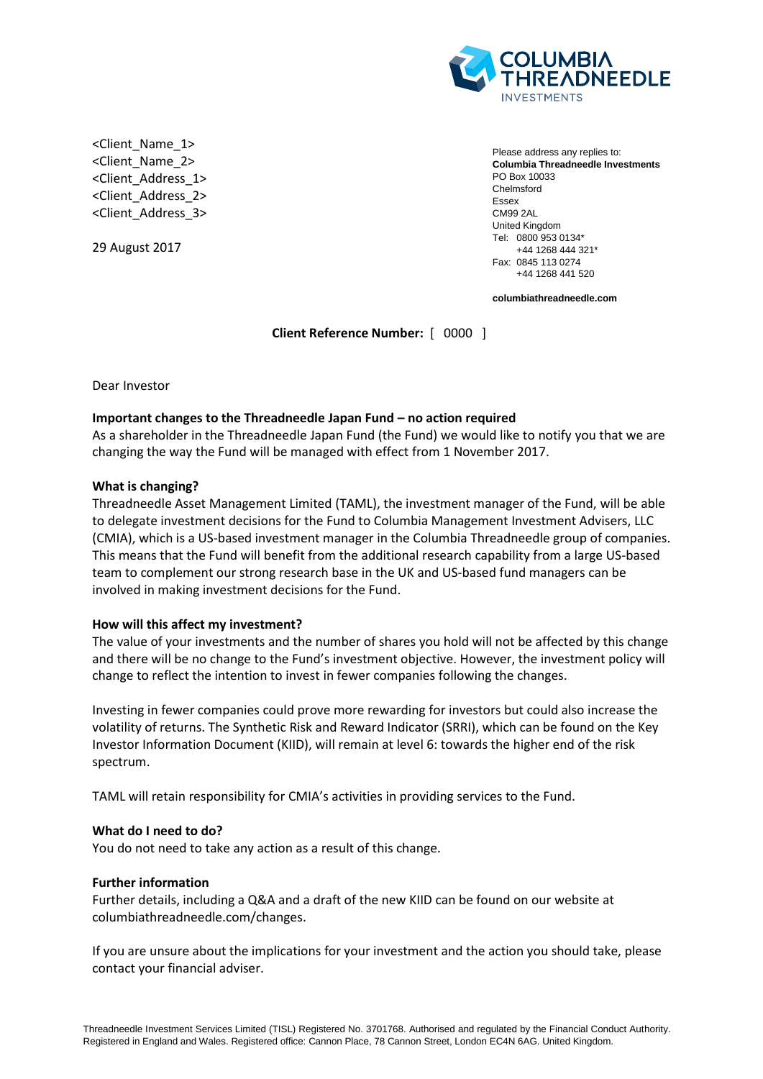

<Client\_Name\_1> <Client\_Name\_2> <Client\_Address\_1> <Client\_Address\_2> <Client\_Address\_3>

29 August 2017

Please address any replies to: **Columbia Threadneedle Investments** PO Box 10033 Chelmsford Essex CM99 2AL United Kingdom Tel: 0800 953 0134\* +44 1268 444 321\* Fax: 0845 113 0274 +44 1268 441 520

**columbiathreadneedle.com**

**Client Reference Number:** [ 0000 ]

Dear Investor

# **Important changes to the Threadneedle Japan Fund – no action required**

As a shareholder in the Threadneedle Japan Fund (the Fund) we would like to notify you that we are changing the way the Fund will be managed with effect from 1 November 2017.

# **What is changing?**

Threadneedle Asset Management Limited (TAML), the investment manager of the Fund, will be able to delegate investment decisions for the Fund to Columbia Management Investment Advisers, LLC (CMIA), which is a US-based investment manager in the Columbia Threadneedle group of companies. This means that the Fund will benefit from the additional research capability from a large US-based team to complement our strong research base in the UK and US-based fund managers can be involved in making investment decisions for the Fund.

## **How will this affect my investment?**

The value of your investments and the number of shares you hold will not be affected by this change and there will be no change to the Fund's investment objective. However, the investment policy will change to reflect the intention to invest in fewer companies following the changes.

Investing in fewer companies could prove more rewarding for investors but could also increase the volatility of returns. The Synthetic Risk and Reward Indicator (SRRI), which can be found on the Key Investor Information Document (KIID), will remain at level 6: towards the higher end of the risk spectrum.

TAML will retain responsibility for CMIA's activities in providing services to the Fund.

## **What do I need to do?**

You do not need to take any action as a result of this change.

## **Further information**

Further details, including a Q&A and a draft of the new KIID can be found on our website at columbiathreadneedle.com/changes.

If you are unsure about the implications for your investment and the action you should take, please contact your financial adviser.